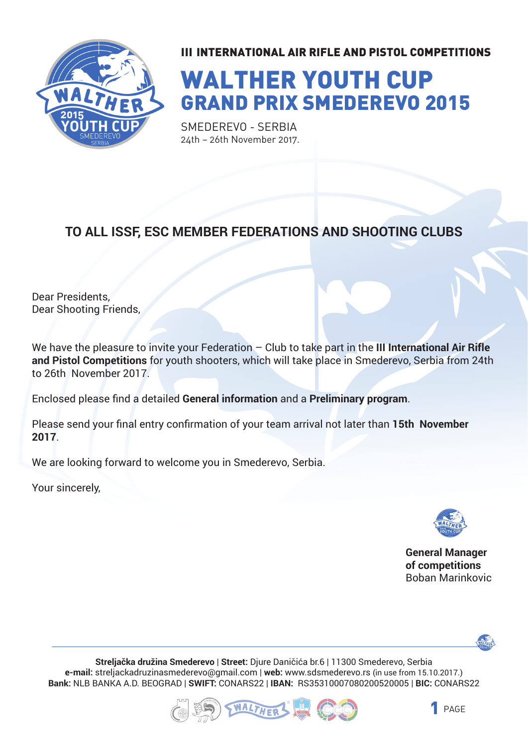

# WALTHER YOUTH CUP GRAND PRIX SMEDEREVO 2015

SMEDEREVO - SERBIA 24th – 26th November 2017.

#### **TO ALL ISSF, ESC MEMBER FEDERATIONS AND SHOOTING CLUBS**

Dear Presidents, Dear Shooting Friends,

We have the pleasure to invite your Federation – Club to take part in the **III International Air Rifle and Pistol Competitions** for youth shooters, which will take place in Smederevo, Serbia from 24th to 26th November 2017.

Enclosed please find a detailed **General information** and a **Preliminary program**.

Please send your final entry confirmation of your team arrival not later than **15th November 2017**.

We are looking forward to welcome you in Smederevo, Serbia.

Your sincerely,



**General Manager of competitions** Boban Marinkovic



**Streljačka družina Smederevo** | **Street:** Djure Daničića br.6 | 11300 Smederevo, Serbia **e-mail:** streljackadruzinasmederevo@gmail.com | **web:** www.sdsmederevo.rs (in use from 15.10.2017.) **Bank:** NLB BANKA A.D. BEOGRAD | **SWIFT:** CONARS22 | **IBAN:** RS35310007080200520005 | **BIC:** CONARS22



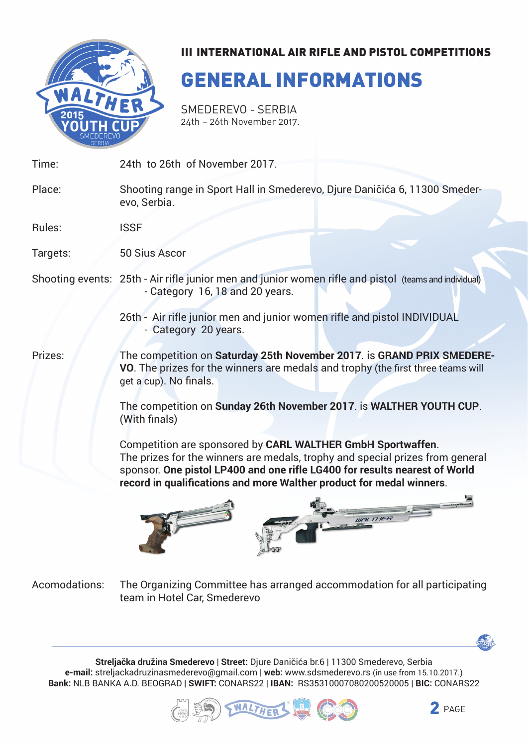

## GENERAL INFORMATIONS

Smederevo - Serbia 24th – 26th November 2017.

| Time:    | 24th to 26th of November 2017.                                                                                                                                                                                                                                                                     |  |  |
|----------|----------------------------------------------------------------------------------------------------------------------------------------------------------------------------------------------------------------------------------------------------------------------------------------------------|--|--|
| Place:   | Shooting range in Sport Hall in Smederevo, Djure Daničića 6, 11300 Smeder-<br>evo, Serbia.                                                                                                                                                                                                         |  |  |
| Rules:   | <b>ISSF</b>                                                                                                                                                                                                                                                                                        |  |  |
| Targets: | <b>50 Sius Ascor</b>                                                                                                                                                                                                                                                                               |  |  |
|          | Shooting events: 25th - Air rifle junior men and junior women rifle and pistol (teams and individual)<br>- Category 16, 18 and 20 years.                                                                                                                                                           |  |  |
|          | 26th - Air rifle junior men and junior women rifle and pistol INDIVIDUAL<br>- Category 20 years.                                                                                                                                                                                                   |  |  |
| Prizes:  | The competition on Saturday 25th November 2017. is GRAND PRIX SMEDERE-<br>VO. The prizes for the winners are medals and trophy (the first three teams will<br>get a cup). No finals.                                                                                                               |  |  |
|          | The competition on Sunday 26th November 2017. is WALTHER YOUTH CUP.<br>(With finals)                                                                                                                                                                                                               |  |  |
|          | Competition are sponsored by CARL WALTHER GmbH Sportwaffen.<br>The prizes for the winners are medals, trophy and special prizes from general<br>sponsor. One pistol LP400 and one rifle LG400 for results nearest of World<br>record in qualifications and more Walther product for medal winners. |  |  |
|          | <b>WALTHER</b>                                                                                                                                                                                                                                                                                     |  |  |

The Organizing Committee has arranged accommodation for all participating team in Hotel Car, Smederevo Acomodations:

**Streljačka družina Smederevo** | **Street:** Djure Daničića br.6 | 11300 Smederevo, Serbia **e-mail:** streljackadruzinasmederevo@gmail.com | **web:** www.sdsmederevo.rs (in use from 15.10.2017.) **Bank:** NLB BANKA A.D. BEOGRAD | **SWIFT:** CONARS22 | **IBAN:** RS35310007080200520005 | **BIC:** CONARS22





WALTHER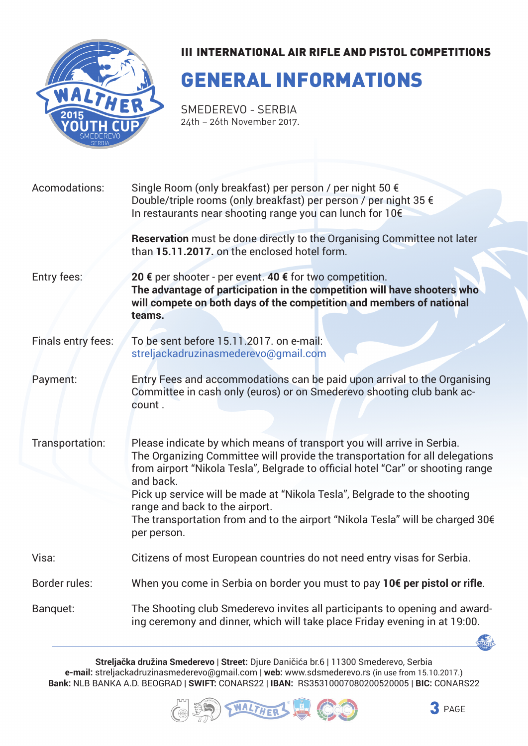

### GENERAL INFORMATIONS

Smederevo - Serbia 24th – 26th November 2017.

| Acomodations:      | Single Room (only breakfast) per person / per night 50 €                                                                                                                                                                                               |  |  |
|--------------------|--------------------------------------------------------------------------------------------------------------------------------------------------------------------------------------------------------------------------------------------------------|--|--|
|                    | Double/triple rooms (only breakfast) per person / per night 35 €<br>In restaurants near shooting range you can lunch for 10€                                                                                                                           |  |  |
|                    | Reservation must be done directly to the Organising Committee not later<br>than 15.11.2017, on the enclosed hotel form.                                                                                                                                |  |  |
| Entry fees:        | 20 € per shooter - per event. 40 € for two competition.<br>The advantage of participation in the competition will have shooters who<br>will compete on both days of the competition and members of national<br>teams.                                  |  |  |
| Finals entry fees: | To be sent before 15.11.2017. on e-mail:<br>streljackadruzinasmederevo@gmail.com                                                                                                                                                                       |  |  |
| Payment:           | Entry Fees and accommodations can be paid upon arrival to the Organising<br>Committee in cash only (euros) or on Smederevo shooting club bank ac-<br>count.                                                                                            |  |  |
|                    |                                                                                                                                                                                                                                                        |  |  |
| Transportation:    | Please indicate by which means of transport you will arrive in Serbia.<br>The Organizing Committee will provide the transportation for all delegations<br>from airport "Nikola Tesla", Belgrade to official hotel "Car" or shooting range<br>and back. |  |  |
|                    | Pick up service will be made at "Nikola Tesla", Belgrade to the shooting                                                                                                                                                                               |  |  |
|                    | range and back to the airport.<br>The transportation from and to the airport "Nikola Tesla" will be charged 30€<br>per person.                                                                                                                         |  |  |
| Visa:              | Citizens of most European countries do not need entry visas for Serbia.                                                                                                                                                                                |  |  |
| Border rules:      | When you come in Serbia on border you must to pay 10€ per pistol or rifle.                                                                                                                                                                             |  |  |
| Banquet:           | The Shooting club Smederevo invites all participants to opening and award-<br>ing ceremony and dinner, which will take place Friday evening in at 19:00.                                                                                               |  |  |

**Streljačka družina Smederevo** | **Street:** Djure Daničića br.6 | 11300 Smederevo, Serbia **e-mail:** streljackadruzinasmederevo@gmail.com | **web:** www.sdsmederevo.rs (in use from 15.10.2017.) **Bank:** NLB BANKA A.D. BEOGRAD | **SWIFT:** CONARS22 | **IBAN:** RS35310007080200520005 | **BIC:** CONARS22





WALTHER